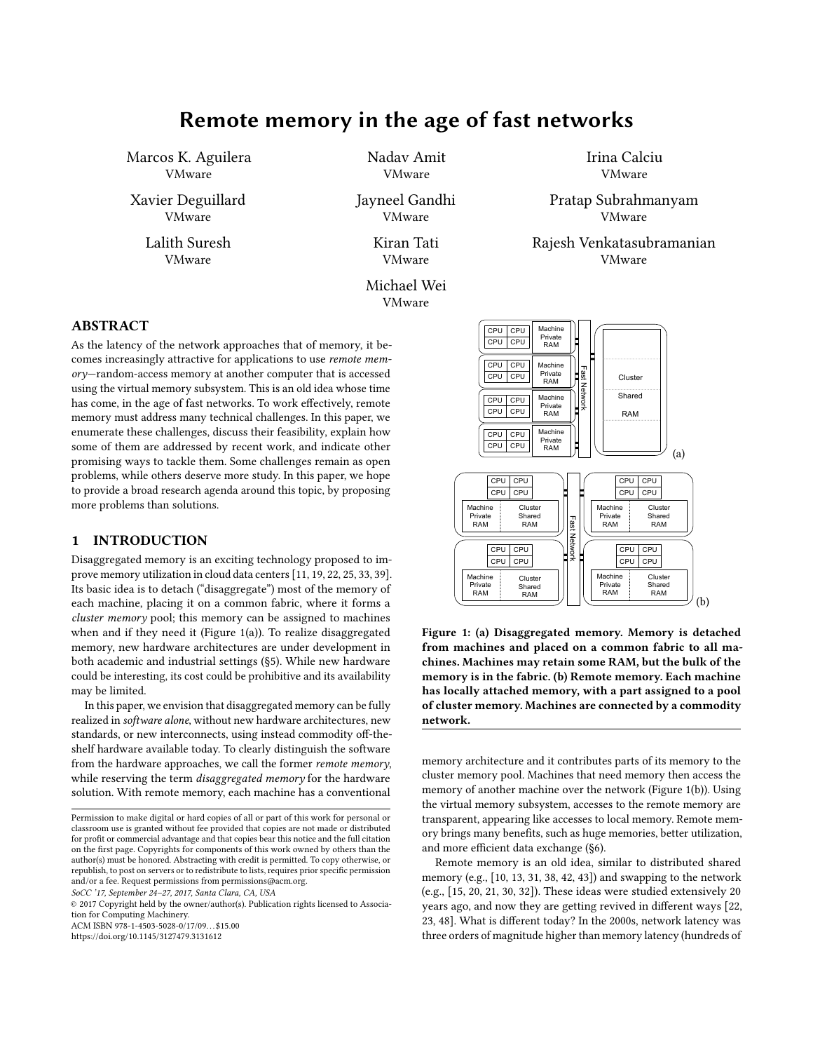# Remote memory in the age of fast networks

Marcos K. Aguilera VMware

Xavier Deguillard VMware

Lalith Suresh VMware

Nadav Amit VMware

Jayneel Gandhi VMware

> Kiran Tati VMware

Michael Wei VMware

Irina Calciu VMware

Pratap Subrahmanyam VMware

Rajesh Venkatasubramanian VMware

# ABSTRACT

As the latency of the network approaches that of memory, it becomes increasingly attractive for applications to use remote memory—random-access memory at another computer that is accessed using the virtual memory subsystem. This is an old idea whose time has come, in the age of fast networks. To work effectively, remote memory must address many technical challenges. In this paper, we enumerate these challenges, discuss their feasibility, explain how some of them are addressed by recent work, and indicate other promising ways to tackle them. Some challenges remain as open problems, while others deserve more study. In this paper, we hope to provide a broad research agenda around this topic, by proposing more problems than solutions.

# 1 INTRODUCTION

Disaggregated memory is an exciting technology proposed to improve memory utilization in cloud data centers [\[11,](#page-6-0) [19,](#page-6-1) [22,](#page-6-2) [25,](#page-6-3) [33,](#page-6-4) [39\]](#page-6-5). Its basic idea is to detach ("disaggregate") most of the memory of each machine, placing it on a common fabric, where it forms a cluster memory pool; this memory can be assigned to machines when and if they need it (Figure [1\(](#page-0-0)a)). To realize disaggregated memory, new hardware architectures are under development in both academic and industrial settings ([§5\)](#page-2-0). While new hardware could be interesting, its cost could be prohibitive and its availability may be limited.

In this paper, we envision that disaggregated memory can be fully realized in software alone, without new hardware architectures, new standards, or new interconnects, using instead commodity off-theshelf hardware available today. To clearly distinguish the software from the hardware approaches, we call the former remote memory, while reserving the term *disaggregated memory* for the hardware solution. With remote memory, each machine has a conventional

SoCC '17, September 24–27, 2017, Santa Clara, CA, USA

© 2017 Copyright held by the owner/author(s). Publication rights licensed to Association for Computing Machinery. ACM ISBN 978-1-4503-5028-0/17/09. . . \$15.00

<https://doi.org/10.1145/3127479.3131612>

<span id="page-0-0"></span>

Figure 1: (a) Disaggregated memory. Memory is detached from machines and placed on a common fabric to all machines. Machines may retain some RAM, but the bulk of the memory is in the fabric. (b) Remote memory. Each machine has locally attached memory, with a part assigned to a pool of cluster memory. Machines are connected by a commodity network.

memory architecture and it contributes parts of its memory to the cluster memory pool. Machines that need memory then access the memory of another machine over the network (Figure [1\(](#page-0-0)b)). Using the virtual memory subsystem, accesses to the remote memory are transparent, appearing like accesses to local memory. Remote memory brings many benefits, such as huge memories, better utilization, and more efficient data exchange ([§6\)](#page-2-1).

Remote memory is an old idea, similar to distributed shared memory (e.g., [\[10,](#page-6-6) [13,](#page-6-7) [31,](#page-6-8) [38,](#page-6-9) [42,](#page-6-10) [43\]](#page-6-11)) and swapping to the network (e.g., [\[15,](#page-6-12) [20,](#page-6-13) [21,](#page-6-14) [30,](#page-6-15) [32\]](#page-6-16)). These ideas were studied extensively 20 years ago, and now they are getting revived in different ways [\[22,](#page-6-2) [23,](#page-6-17) [48\]](#page-6-18). What is different today? In the 2000s, network latency was three orders of magnitude higher than memory latency (hundreds of

Permission to make digital or hard copies of all or part of this work for personal or classroom use is granted without fee provided that copies are not made or distributed for profit or commercial advantage and that copies bear this notice and the full citation on the first page. Copyrights for components of this work owned by others than the author(s) must be honored. Abstracting with credit is permitted. To copy otherwise, or republish, to post on servers or to redistribute to lists, requires prior specific permission and/or a fee. Request permissions from permissions@acm.org.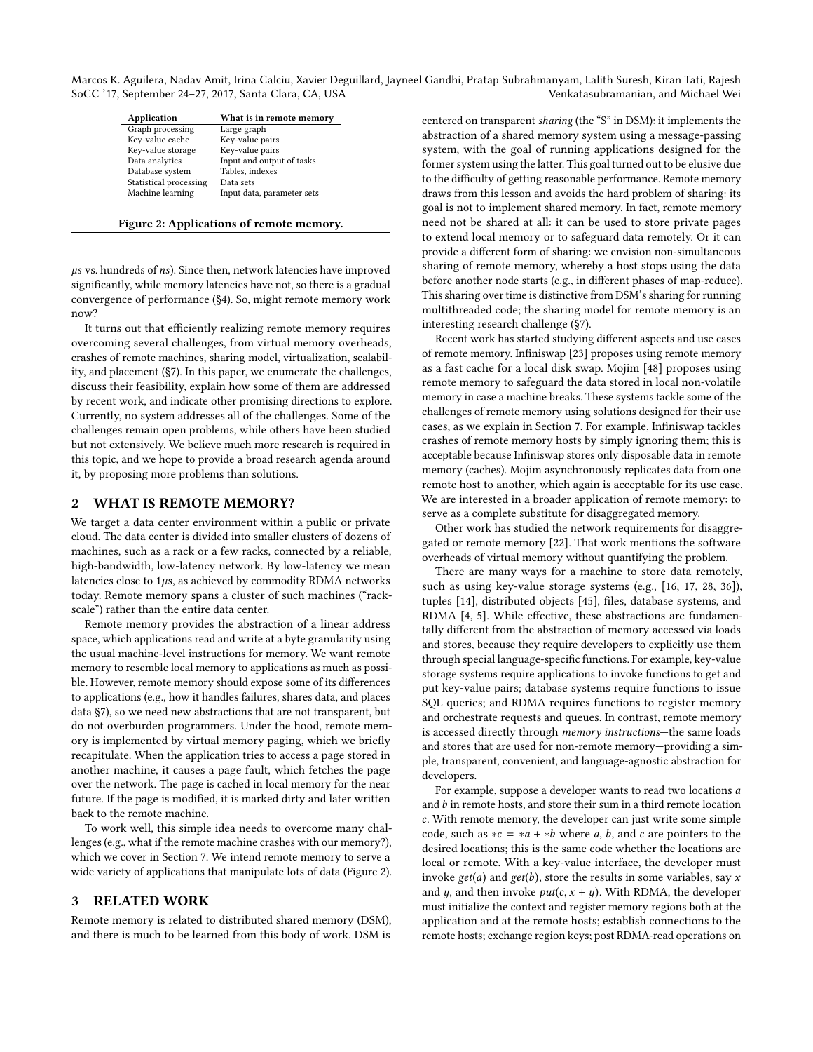<span id="page-1-0"></span>SoCC '17, September 24–27, 2017, Santa Clara, CA, USA Marcos K. Aguilera, Nadav Amit, Irina Calciu, Xavier Deguillard, Jayneel Gandhi, Pratap Subrahmanyam, Lalith Suresh, Kiran Tati, Rajesh Venkatasubramanian, and Michael Wei

| Application            | What is in remote memory   |
|------------------------|----------------------------|
| Graph processing       | Large graph                |
| Key-value cache        | Key-value pairs            |
| Key-value storage      | Key-value pairs            |
| Data analytics         | Input and output of tasks  |
| Database system        | Tables, indexes            |
| Statistical processing | Data sets                  |
| Machine learning       | Input data, parameter sets |
|                        |                            |

Figure 2: Applications of remote memory.

 $\mu$ s vs. hundreds of ns). Since then, network latencies have improved significantly, while memory latencies have not, so there is a gradual convergence of performance ([§4\)](#page-2-2). So, might remote memory work now?

It turns out that efficiently realizing remote memory requires overcoming several challenges, from virtual memory overheads, crashes of remote machines, sharing model, virtualization, scalability, and placement ([§7\)](#page-2-3). In this paper, we enumerate the challenges, discuss their feasibility, explain how some of them are addressed by recent work, and indicate other promising directions to explore. Currently, no system addresses all of the challenges. Some of the challenges remain open problems, while others have been studied but not extensively. We believe much more research is required in this topic, and we hope to provide a broad research agenda around it, by proposing more problems than solutions.

# 2 WHAT IS REMOTE MEMORY?

We target a data center environment within a public or private cloud. The data center is divided into smaller clusters of dozens of machines, such as a rack or a few racks, connected by a reliable, high-bandwidth, low-latency network. By low-latency we mean latencies close to  $1\mu s$ , as achieved by commodity RDMA networks today. Remote memory spans a cluster of such machines ("rackscale") rather than the entire data center.

Remote memory provides the abstraction of a linear address space, which applications read and write at a byte granularity using the usual machine-level instructions for memory. We want remote memory to resemble local memory to applications as much as possible. However, remote memory should expose some of its differences to applications (e.g., how it handles failures, shares data, and places data [§7\)](#page-2-3), so we need new abstractions that are not transparent, but do not overburden programmers. Under the hood, remote memory is implemented by virtual memory paging, which we briefly recapitulate. When the application tries to access a page stored in another machine, it causes a page fault, which fetches the page over the network. The page is cached in local memory for the near future. If the page is modified, it is marked dirty and later written back to the remote machine.

To work well, this simple idea needs to overcome many challenges (e.g., what if the remote machine crashes with our memory?), which we cover in Section [7.](#page-2-3) We intend remote memory to serve a wide variety of applications that manipulate lots of data (Figure [2\)](#page-1-0).

### 3 RELATED WORK

Remote memory is related to distributed shared memory (DSM), and there is much to be learned from this body of work. DSM is

centered on transparent sharing (the "S" in DSM): it implements the abstraction of a shared memory system using a message-passing system, with the goal of running applications designed for the former system using the latter. This goal turned out to be elusive due to the difficulty of getting reasonable performance. Remote memory draws from this lesson and avoids the hard problem of sharing: its goal is not to implement shared memory. In fact, remote memory need not be shared at all: it can be used to store private pages to extend local memory or to safeguard data remotely. Or it can provide a different form of sharing: we envision non-simultaneous sharing of remote memory, whereby a host stops using the data before another node starts (e.g., in different phases of map-reduce). This sharing over time is distinctive from DSM's sharing for running multithreaded code; the sharing model for remote memory is an interesting research challenge ([§7\)](#page-2-3).

Recent work has started studying different aspects and use cases of remote memory. Infiniswap [\[23\]](#page-6-17) proposes using remote memory as a fast cache for a local disk swap. Mojim [\[48\]](#page-6-18) proposes using remote memory to safeguard the data stored in local non-volatile memory in case a machine breaks. These systems tackle some of the challenges of remote memory using solutions designed for their use cases, as we explain in Section [7.](#page-2-3) For example, Infiniswap tackles crashes of remote memory hosts by simply ignoring them; this is acceptable because Infiniswap stores only disposable data in remote memory (caches). Mojim asynchronously replicates data from one remote host to another, which again is acceptable for its use case. We are interested in a broader application of remote memory: to serve as a complete substitute for disaggregated memory.

Other work has studied the network requirements for disaggregated or remote memory [\[22\]](#page-6-2). That work mentions the software overheads of virtual memory without quantifying the problem.

There are many ways for a machine to store data remotely, such as using key-value storage systems (e.g., [\[16,](#page-6-19) [17,](#page-6-20) [28,](#page-6-21) [36\]](#page-6-22)), tuples [\[14\]](#page-6-23), distributed objects [\[45\]](#page-6-24), files, database systems, and RDMA [\[4,](#page-6-25) [5\]](#page-6-26). While effective, these abstractions are fundamentally different from the abstraction of memory accessed via loads and stores, because they require developers to explicitly use them through special language-specific functions. For example, key-value storage systems require applications to invoke functions to get and put key-value pairs; database systems require functions to issue SQL queries; and RDMA requires functions to register memory and orchestrate requests and queues. In contrast, remote memory is accessed directly through memory instructions—the same loads and stores that are used for non-remote memory—providing a simple, transparent, convenient, and language-agnostic abstraction for developers.

For example, suppose a developer wants to read two locations a and  $b$  in remote hosts, and store their sum in a third remote location c. With remote memory, the developer can just write some simple code, such as  $*c = *a + *b$  where a, b, and c are pointers to the desired locations; this is the same code whether the locations are local or remote. With a key-value interface, the developer must invoke  $get(a)$  and  $get(b)$ , store the results in some variables, say x and y, and then invoke  $put(c, x + y)$ . With RDMA, the developer must initialize the context and register memory regions both at the application and at the remote hosts; establish connections to the remote hosts; exchange region keys; post RDMA-read operations on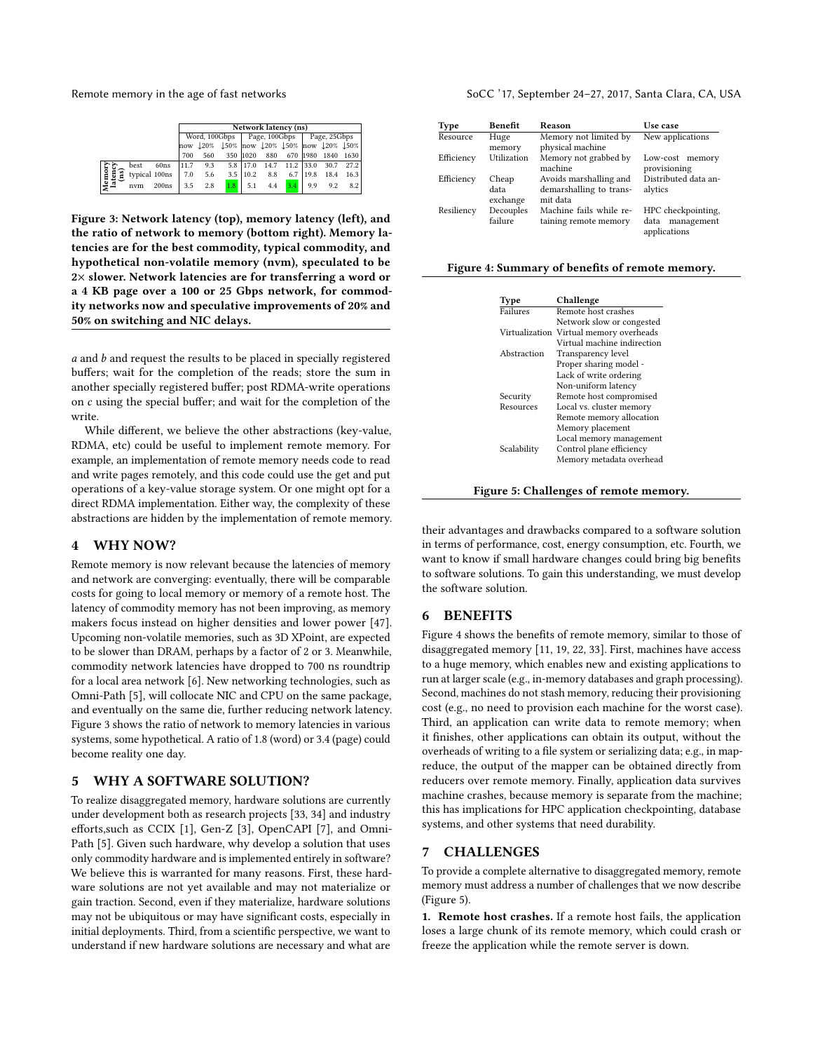<span id="page-2-4"></span>

|                           |               |       | Network latency (ns) |     |                                                                               |              |      |                                 |              |      |      |
|---------------------------|---------------|-------|----------------------|-----|-------------------------------------------------------------------------------|--------------|------|---------------------------------|--------------|------|------|
|                           |               |       |                      |     | Word, 100Gbps   Page, 100Gbps   Page, 25Gbps                                  |              |      |                                 |              |      |      |
|                           |               |       |                      |     | now $\frac{120\%}{150\%}$ now $\frac{120\%}{150\%}$ now $\frac{120\%}{150\%}$ |              |      |                                 |              |      |      |
|                           |               |       | 700                  | 560 |                                                                               |              |      | 350 1020 880 670 1980 1840 1630 |              |      |      |
|                           | best          | 60ns  | 11.7                 | 9.3 |                                                                               | $5.8$   17.0 | 14.7 | $11.2$ 33.0                     |              | 30.7 | 27.2 |
|                           | typical 100ns |       | 7.0                  | 5.6 |                                                                               | $3.5$   10.2 | 8.8  |                                 | $6.7$   19.8 | 18.4 | 16.3 |
| Memory<br>latency<br>(ns) | nvm           | 200ns | 3.5                  | 2.8 | 1.8                                                                           | 5.1          | 4.4  | 3.4                             | 9.9          | 9.2  | 8.2  |

Figure 3: Network latency (top), memory latency (left), and the ratio of network to memory (bottom right). Memory latencies are for the best commodity, typical commodity, and hypothetical non-volatile memory (nvm), speculated to be 2× slower. Network latencies are for transferring a word or a 4 KB page over a 100 or 25 Gbps network, for commodity networks now and speculative improvements of 20% and 50% on switching and NIC delays.

 $a$  and  $b$  and request the results to be placed in specially registered buffers; wait for the completion of the reads; store the sum in another specially registered buffer; post RDMA-write operations on c using the special buffer; and wait for the completion of the write.

While different, we believe the other abstractions (key-value, RDMA, etc) could be useful to implement remote memory. For example, an implementation of remote memory needs code to read and write pages remotely, and this code could use the get and put operations of a key-value storage system. Or one might opt for a direct RDMA implementation. Either way, the complexity of these abstractions are hidden by the implementation of remote memory.

# <span id="page-2-2"></span>4 WHY NOW?

Remote memory is now relevant because the latencies of memory and network are converging: eventually, there will be comparable costs for going to local memory or memory of a remote host. The latency of commodity memory has not been improving, as memory makers focus instead on higher densities and lower power [\[47\]](#page-6-27). Upcoming non-volatile memories, such as 3D XPoint, are expected to be slower than DRAM, perhaps by a factor of 2 or 3. Meanwhile, commodity network latencies have dropped to 700 ns roundtrip for a local area network [\[6\]](#page-6-28). New networking technologies, such as Omni-Path [\[5\]](#page-6-26), will collocate NIC and CPU on the same package, and eventually on the same die, further reducing network latency. Figure [3](#page-2-4) shows the ratio of network to memory latencies in various systems, some hypothetical. A ratio of 1.8 (word) or 3.4 (page) could become reality one day.

# <span id="page-2-0"></span>5 WHY A SOFTWARE SOLUTION?

To realize disaggregated memory, hardware solutions are currently under development both as research projects [\[33,](#page-6-4) [34\]](#page-6-29) and industry efforts,such as CCIX [\[1\]](#page-5-0), Gen-Z [\[3\]](#page-6-30), OpenCAPI [\[7\]](#page-6-31), and Omni-Path [\[5\]](#page-6-26). Given such hardware, why develop a solution that uses only commodity hardware and is implemented entirely in software? We believe this is warranted for many reasons. First, these hardware solutions are not yet available and may not materialize or gain traction. Second, even if they materialize, hardware solutions may not be ubiquitous or may have significant costs, especially in initial deployments. Third, from a scientific perspective, we want to understand if new hardware solutions are necessary and what are

Remote memory in the age of fast networks SoCC '17, September 24-27, 2017, Santa Clara, CA, USA

<span id="page-2-5"></span>

| <b>Type</b>                | <b>Benefit</b>            | Reason                                                        | Use case                                                 |
|----------------------------|---------------------------|---------------------------------------------------------------|----------------------------------------------------------|
| Resource<br>Huge<br>memory |                           | Memory not limited by<br>physical machine                     | New applications                                         |
| Efficiency                 | Utilization               | Memory not grabbed by<br>machine                              | Low-cost memory<br>provisioning                          |
| Efficiency                 | Cheap<br>data<br>exchange | Avoids marshalling and<br>demarshalling to trans-<br>mit data | Distributed data an-<br>alytics                          |
| Resiliency                 | Decouples<br>failure      | Machine fails while re-<br>taining remote memory              | HPC checkpointing,<br>management<br>data<br>applications |

<span id="page-2-6"></span>Figure 4: Summary of benefits of remote memory.

| Type<br>Failures | Challenge                   |
|------------------|-----------------------------|
|                  | Remote host crashes         |
|                  | Network slow or congested   |
| Virtualization   | Virtual memory overheads    |
|                  | Virtual machine indirection |
| Abstraction      | Transparency level          |
|                  | Proper sharing model -      |
|                  | Lack of write ordering      |
|                  | Non-uniform latency         |
| Security         | Remote host compromised     |
| Resources        | Local vs. cluster memory    |
|                  | Remote memory allocation    |
|                  | Memory placement            |
|                  | Local memory management     |
| Scalability      | Control plane efficiency    |
|                  | Memory metadata overhead    |

Figure 5: Challenges of remote memory.

their advantages and drawbacks compared to a software solution in terms of performance, cost, energy consumption, etc. Fourth, we want to know if small hardware changes could bring big benefits to software solutions. To gain this understanding, we must develop the software solution.

#### <span id="page-2-1"></span>6 BENEFITS

Figure [4](#page-2-5) shows the benefits of remote memory, similar to those of disaggregated memory [\[11,](#page-6-0) [19,](#page-6-1) [22,](#page-6-2) [33\]](#page-6-4). First, machines have access to a huge memory, which enables new and existing applications to run at larger scale (e.g., in-memory databases and graph processing). Second, machines do not stash memory, reducing their provisioning cost (e.g., no need to provision each machine for the worst case). Third, an application can write data to remote memory; when it finishes, other applications can obtain its output, without the overheads of writing to a file system or serializing data; e.g., in mapreduce, the output of the mapper can be obtained directly from reducers over remote memory. Finally, application data survives machine crashes, because memory is separate from the machine; this has implications for HPC application checkpointing, database systems, and other systems that need durability.

### <span id="page-2-3"></span>7 CHALLENGES

To provide a complete alternative to disaggregated memory, remote memory must address a number of challenges that we now describe (Figure [5\)](#page-2-6).

1. Remote host crashes. If a remote host fails, the application loses a large chunk of its remote memory, which could crash or freeze the application while the remote server is down.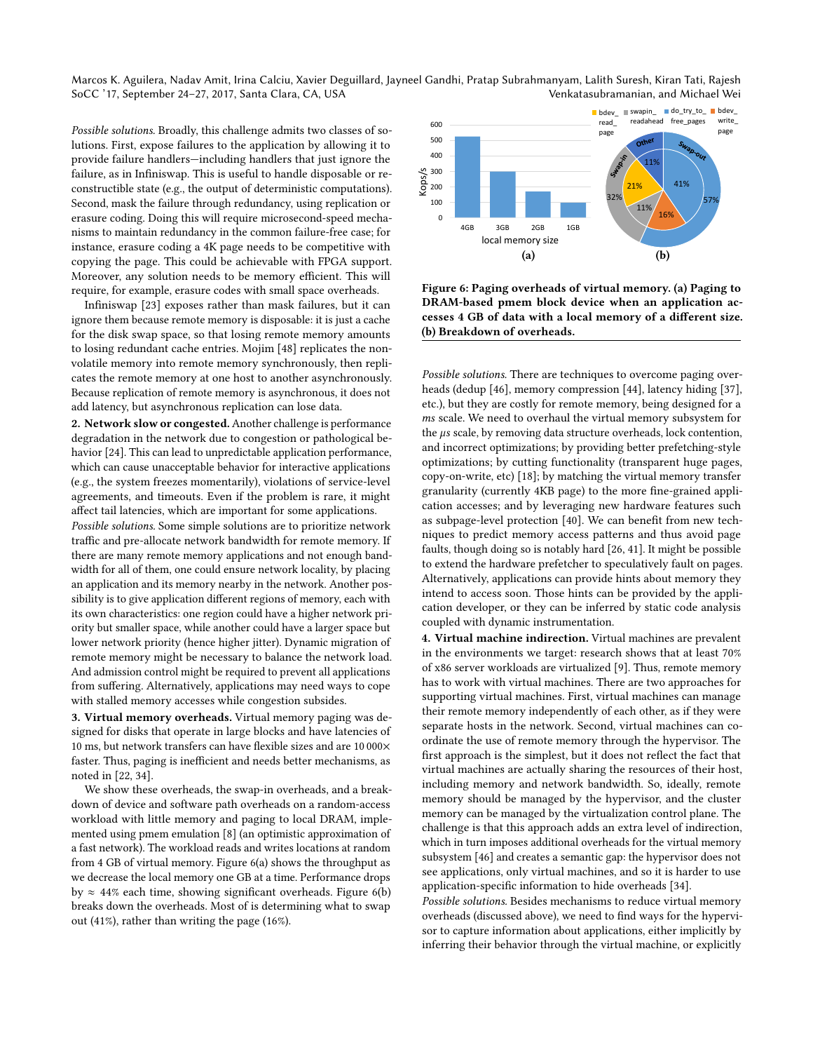SoCC '17, September 24–27, 2017, Santa Clara, CA, USA Marcos K. Aguilera, Nadav Amit, Irina Calciu, Xavier Deguillard, Jayneel Gandhi, Pratap Subrahmanyam, Lalith Suresh, Kiran Tati, Rajesh Venkatasubramanian, and Michael Wei

Possible solutions. Broadly, this challenge admits two classes of solutions. First, expose failures to the application by allowing it to provide failure handlers—including handlers that just ignore the failure, as in Infiniswap. This is useful to handle disposable or reconstructible state (e.g., the output of deterministic computations). Second, mask the failure through redundancy, using replication or erasure coding. Doing this will require microsecond-speed mechanisms to maintain redundancy in the common failure-free case; for instance, erasure coding a 4K page needs to be competitive with copying the page. This could be achievable with FPGA support. Moreover, any solution needs to be memory efficient. This will require, for example, erasure codes with small space overheads.

Infiniswap [\[23\]](#page-6-17) exposes rather than mask failures, but it can ignore them because remote memory is disposable: it is just a cache for the disk swap space, so that losing remote memory amounts to losing redundant cache entries. Mojim [\[48\]](#page-6-18) replicates the nonvolatile memory into remote memory synchronously, then replicates the remote memory at one host to another asynchronously. Because replication of remote memory is asynchronous, it does not add latency, but asynchronous replication can lose data.

2. Network slow or congested. Another challenge is performance degradation in the network due to congestion or pathological behavior [\[24\]](#page-6-32). This can lead to unpredictable application performance, which can cause unacceptable behavior for interactive applications (e.g., the system freezes momentarily), violations of service-level agreements, and timeouts. Even if the problem is rare, it might affect tail latencies, which are important for some applications.

Possible solutions. Some simple solutions are to prioritize network traffic and pre-allocate network bandwidth for remote memory. If there are many remote memory applications and not enough bandwidth for all of them, one could ensure network locality, by placing an application and its memory nearby in the network. Another possibility is to give application different regions of memory, each with its own characteristics: one region could have a higher network priority but smaller space, while another could have a larger space but lower network priority (hence higher jitter). Dynamic migration of remote memory might be necessary to balance the network load. And admission control might be required to prevent all applications from suffering. Alternatively, applications may need ways to cope with stalled memory accesses while congestion subsides.

3. Virtual memory overheads. Virtual memory paging was designed for disks that operate in large blocks and have latencies of 10 ms, but network transfers can have flexible sizes and are  $10\,000\times$ faster. Thus, paging is inefficient and needs better mechanisms, as noted in [\[22,](#page-6-2) [34\]](#page-6-29).

We show these overheads, the swap-in overheads, and a breakdown of device and software path overheads on a random-access workload with little memory and paging to local DRAM, implemented using pmem emulation [\[8\]](#page-6-33) (an optimistic approximation of a fast network). The workload reads and writes locations at random from 4 GB of virtual memory. Figure [6\(](#page-3-0)a) shows the throughput as we decrease the local memory one GB at a time. Performance drops by  $\approx$  44% each time, showing significant overheads. Figure [6\(](#page-3-0)b) breaks down the overheads. Most of is determining what to swap out (41%), rather than writing the page (16%).

<span id="page-3-0"></span>

Figure 6: Paging overheads of virtual memory. (a) Paging to DRAM-based pmem block device when an application accesses 4 GB of data with a local memory of a different size. (b) Breakdown of overheads.

Possible solutions. There are techniques to overcome paging overheads (dedup [\[46\]](#page-6-34), memory compression [\[44\]](#page-6-35), latency hiding [\[37\]](#page-6-36), etc.), but they are costly for remote memory, being designed for a ms scale. We need to overhaul the virtual memory subsystem for the  $\mu$ s scale, by removing data structure overheads, lock contention, and incorrect optimizations; by providing better prefetching-style optimizations; by cutting functionality (transparent huge pages, copy-on-write, etc) [\[18\]](#page-6-37); by matching the virtual memory transfer granularity (currently 4KB page) to the more fine-grained application accesses; and by leveraging new hardware features such as subpage-level protection [\[40\]](#page-6-38). We can benefit from new techniques to predict memory access patterns and thus avoid page faults, though doing so is notably hard [\[26,](#page-6-39) [41\]](#page-6-40). It might be possible to extend the hardware prefetcher to speculatively fault on pages. Alternatively, applications can provide hints about memory they intend to access soon. Those hints can be provided by the application developer, or they can be inferred by static code analysis coupled with dynamic instrumentation.

4. Virtual machine indirection. Virtual machines are prevalent in the environments we target: research shows that at least 70% of x86 server workloads are virtualized [\[9\]](#page-6-41). Thus, remote memory has to work with virtual machines. There are two approaches for supporting virtual machines. First, virtual machines can manage their remote memory independently of each other, as if they were separate hosts in the network. Second, virtual machines can coordinate the use of remote memory through the hypervisor. The first approach is the simplest, but it does not reflect the fact that virtual machines are actually sharing the resources of their host, including memory and network bandwidth. So, ideally, remote memory should be managed by the hypervisor, and the cluster memory can be managed by the virtualization control plane. The challenge is that this approach adds an extra level of indirection, which in turn imposes additional overheads for the virtual memory subsystem [\[46\]](#page-6-34) and creates a semantic gap: the hypervisor does not see applications, only virtual machines, and so it is harder to use application-specific information to hide overheads [\[34\]](#page-6-29).

Possible solutions. Besides mechanisms to reduce virtual memory overheads (discussed above), we need to find ways for the hypervisor to capture information about applications, either implicitly by inferring their behavior through the virtual machine, or explicitly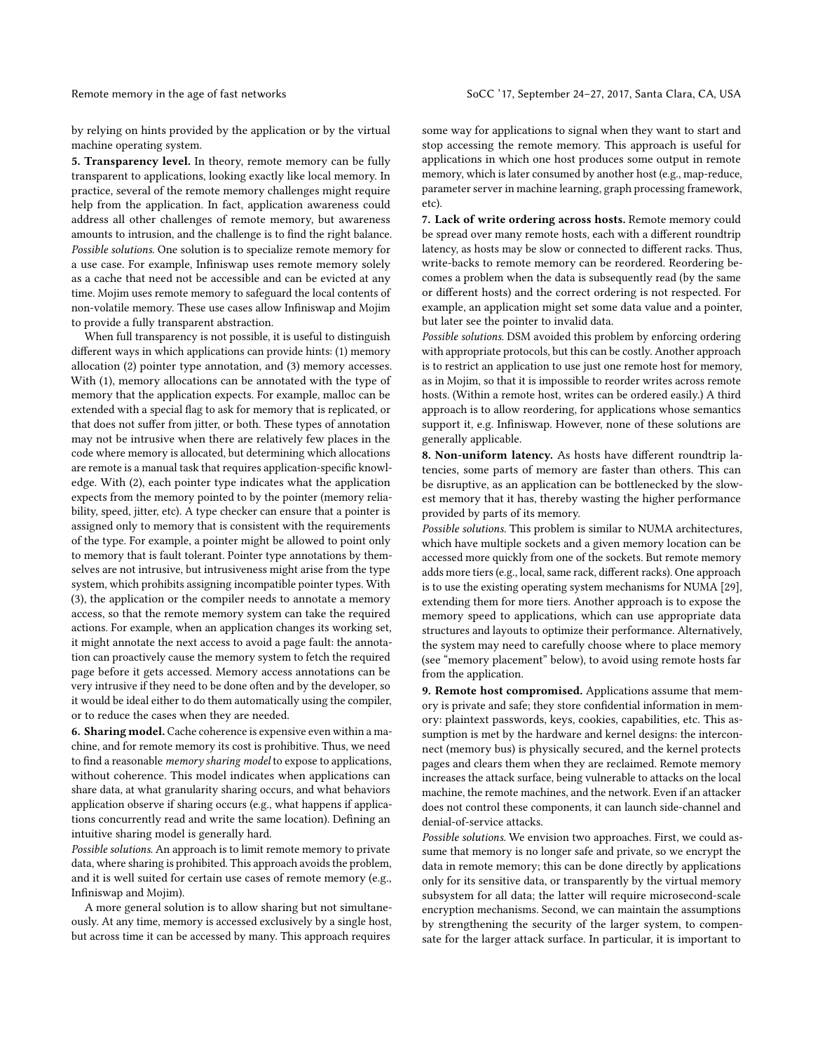by relying on hints provided by the application or by the virtual machine operating system.

5. Transparency level. In theory, remote memory can be fully transparent to applications, looking exactly like local memory. In practice, several of the remote memory challenges might require help from the application. In fact, application awareness could address all other challenges of remote memory, but awareness amounts to intrusion, and the challenge is to find the right balance. Possible solutions. One solution is to specialize remote memory for a use case. For example, Infiniswap uses remote memory solely as a cache that need not be accessible and can be evicted at any time. Mojim uses remote memory to safeguard the local contents of non-volatile memory. These use cases allow Infiniswap and Mojim to provide a fully transparent abstraction.

When full transparency is not possible, it is useful to distinguish different ways in which applications can provide hints: (1) memory allocation (2) pointer type annotation, and (3) memory accesses. With (1), memory allocations can be annotated with the type of memory that the application expects. For example, malloc can be extended with a special flag to ask for memory that is replicated, or that does not suffer from jitter, or both. These types of annotation may not be intrusive when there are relatively few places in the code where memory is allocated, but determining which allocations are remote is a manual task that requires application-specific knowledge. With (2), each pointer type indicates what the application expects from the memory pointed to by the pointer (memory reliability, speed, jitter, etc). A type checker can ensure that a pointer is assigned only to memory that is consistent with the requirements of the type. For example, a pointer might be allowed to point only to memory that is fault tolerant. Pointer type annotations by themselves are not intrusive, but intrusiveness might arise from the type system, which prohibits assigning incompatible pointer types. With (3), the application or the compiler needs to annotate a memory access, so that the remote memory system can take the required actions. For example, when an application changes its working set, it might annotate the next access to avoid a page fault: the annotation can proactively cause the memory system to fetch the required page before it gets accessed. Memory access annotations can be very intrusive if they need to be done often and by the developer, so it would be ideal either to do them automatically using the compiler, or to reduce the cases when they are needed.

6. Sharing model. Cache coherence is expensive even within a machine, and for remote memory its cost is prohibitive. Thus, we need to find a reasonable memory sharing model to expose to applications, without coherence. This model indicates when applications can share data, at what granularity sharing occurs, and what behaviors application observe if sharing occurs (e.g., what happens if applications concurrently read and write the same location). Defining an intuitive sharing model is generally hard.

Possible solutions. An approach is to limit remote memory to private data, where sharing is prohibited. This approach avoids the problem, and it is well suited for certain use cases of remote memory (e.g., Infiniswap and Mojim).

A more general solution is to allow sharing but not simultaneously. At any time, memory is accessed exclusively by a single host, but across time it can be accessed by many. This approach requires

some way for applications to signal when they want to start and stop accessing the remote memory. This approach is useful for applications in which one host produces some output in remote memory, which is later consumed by another host (e.g., map-reduce, parameter server in machine learning, graph processing framework, etc).

7. Lack of write ordering across hosts. Remote memory could be spread over many remote hosts, each with a different roundtrip latency, as hosts may be slow or connected to different racks. Thus, write-backs to remote memory can be reordered. Reordering becomes a problem when the data is subsequently read (by the same or different hosts) and the correct ordering is not respected. For example, an application might set some data value and a pointer, but later see the pointer to invalid data.

Possible solutions. DSM avoided this problem by enforcing ordering with appropriate protocols, but this can be costly. Another approach is to restrict an application to use just one remote host for memory, as in Mojim, so that it is impossible to reorder writes across remote hosts. (Within a remote host, writes can be ordered easily.) A third approach is to allow reordering, for applications whose semantics support it, e.g. Infiniswap. However, none of these solutions are generally applicable.

8. Non-uniform latency. As hosts have different roundtrip latencies, some parts of memory are faster than others. This can be disruptive, as an application can be bottlenecked by the slowest memory that it has, thereby wasting the higher performance provided by parts of its memory.

Possible solutions. This problem is similar to NUMA architectures, which have multiple sockets and a given memory location can be accessed more quickly from one of the sockets. But remote memory adds more tiers (e.g., local, same rack, different racks). One approach is to use the existing operating system mechanisms for NUMA [\[29\]](#page-6-42), extending them for more tiers. Another approach is to expose the memory speed to applications, which can use appropriate data structures and layouts to optimize their performance. Alternatively, the system may need to carefully choose where to place memory (see "memory placement" below), to avoid using remote hosts far from the application.

9. Remote host compromised. Applications assume that memory is private and safe; they store confidential information in memory: plaintext passwords, keys, cookies, capabilities, etc. This assumption is met by the hardware and kernel designs: the interconnect (memory bus) is physically secured, and the kernel protects pages and clears them when they are reclaimed. Remote memory increases the attack surface, being vulnerable to attacks on the local machine, the remote machines, and the network. Even if an attacker does not control these components, it can launch side-channel and denial-of-service attacks.

Possible solutions. We envision two approaches. First, we could assume that memory is no longer safe and private, so we encrypt the data in remote memory; this can be done directly by applications only for its sensitive data, or transparently by the virtual memory subsystem for all data; the latter will require microsecond-scale encryption mechanisms. Second, we can maintain the assumptions by strengthening the security of the larger system, to compensate for the larger attack surface. In particular, it is important to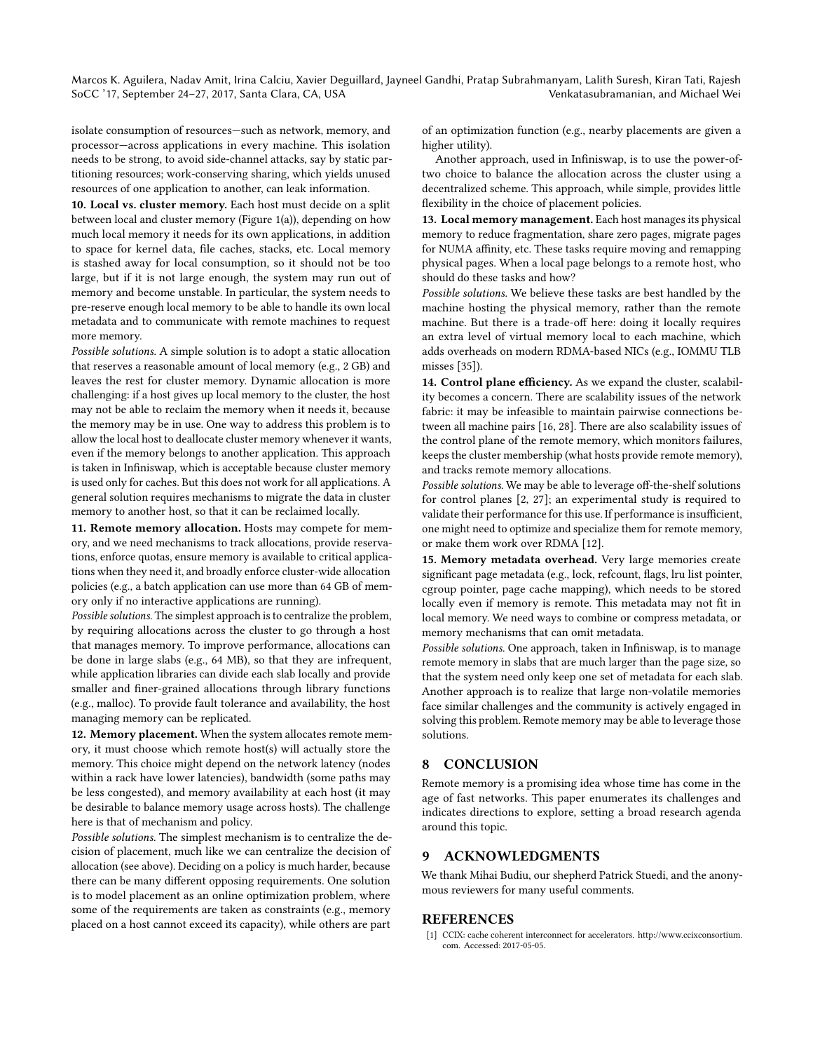SoCC '17, September 24–27, 2017, Santa Clara, CA, USA Marcos K. Aguilera, Nadav Amit, Irina Calciu, Xavier Deguillard, Jayneel Gandhi, Pratap Subrahmanyam, Lalith Suresh, Kiran Tati, Rajesh Venkatasubramanian, and Michael Wei

isolate consumption of resources—such as network, memory, and processor—across applications in every machine. This isolation needs to be strong, to avoid side-channel attacks, say by static partitioning resources; work-conserving sharing, which yields unused resources of one application to another, can leak information.

10. Local vs. cluster memory. Each host must decide on a split between local and cluster memory (Figure [1\(](#page-0-0)a)), depending on how much local memory it needs for its own applications, in addition to space for kernel data, file caches, stacks, etc. Local memory is stashed away for local consumption, so it should not be too large, but if it is not large enough, the system may run out of memory and become unstable. In particular, the system needs to pre-reserve enough local memory to be able to handle its own local metadata and to communicate with remote machines to request more memory.

Possible solutions. A simple solution is to adopt a static allocation that reserves a reasonable amount of local memory (e.g., 2 GB) and leaves the rest for cluster memory. Dynamic allocation is more challenging: if a host gives up local memory to the cluster, the host may not be able to reclaim the memory when it needs it, because the memory may be in use. One way to address this problem is to allow the local host to deallocate cluster memory whenever it wants, even if the memory belongs to another application. This approach is taken in Infiniswap, which is acceptable because cluster memory is used only for caches. But this does not work for all applications. A general solution requires mechanisms to migrate the data in cluster memory to another host, so that it can be reclaimed locally.

11. Remote memory allocation. Hosts may compete for memory, and we need mechanisms to track allocations, provide reservations, enforce quotas, ensure memory is available to critical applications when they need it, and broadly enforce cluster-wide allocation policies (e.g., a batch application can use more than 64 GB of memory only if no interactive applications are running).

Possible solutions. The simplest approach is to centralize the problem, by requiring allocations across the cluster to go through a host that manages memory. To improve performance, allocations can be done in large slabs (e.g., 64 MB), so that they are infrequent, while application libraries can divide each slab locally and provide smaller and finer-grained allocations through library functions (e.g., malloc). To provide fault tolerance and availability, the host managing memory can be replicated.

12. Memory placement. When the system allocates remote memory, it must choose which remote host(s) will actually store the memory. This choice might depend on the network latency (nodes within a rack have lower latencies), bandwidth (some paths may be less congested), and memory availability at each host (it may be desirable to balance memory usage across hosts). The challenge here is that of mechanism and policy.

Possible solutions. The simplest mechanism is to centralize the decision of placement, much like we can centralize the decision of allocation (see above). Deciding on a policy is much harder, because there can be many different opposing requirements. One solution is to model placement as an online optimization problem, where some of the requirements are taken as constraints (e.g., memory placed on a host cannot exceed its capacity), while others are part

of an optimization function (e.g., nearby placements are given a higher utility).

Another approach, used in Infiniswap, is to use the power-oftwo choice to balance the allocation across the cluster using a decentralized scheme. This approach, while simple, provides little flexibility in the choice of placement policies.

13. Local memory management. Each host manages its physical memory to reduce fragmentation, share zero pages, migrate pages for NUMA affinity, etc. These tasks require moving and remapping physical pages. When a local page belongs to a remote host, who should do these tasks and how?

Possible solutions. We believe these tasks are best handled by the machine hosting the physical memory, rather than the remote machine. But there is a trade-off here: doing it locally requires an extra level of virtual memory local to each machine, which adds overheads on modern RDMA-based NICs (e.g., IOMMU TLB misses [\[35\]](#page-6-43)).

14. Control plane efficiency. As we expand the cluster, scalability becomes a concern. There are scalability issues of the network fabric: it may be infeasible to maintain pairwise connections between all machine pairs [\[16,](#page-6-19) [28\]](#page-6-21). There are also scalability issues of the control plane of the remote memory, which monitors failures, keeps the cluster membership (what hosts provide remote memory), and tracks remote memory allocations.

Possible solutions. We may be able to leverage off-the-shelf solutions for control planes [\[2,](#page-6-44) [27\]](#page-6-45); an experimental study is required to validate their performance for this use. If performance is insufficient, one might need to optimize and specialize them for remote memory, or make them work over RDMA [\[12\]](#page-6-46).

15. Memory metadata overhead. Very large memories create significant page metadata (e.g., lock, refcount, flags, lru list pointer, cgroup pointer, page cache mapping), which needs to be stored locally even if memory is remote. This metadata may not fit in local memory. We need ways to combine or compress metadata, or memory mechanisms that can omit metadata.

Possible solutions. One approach, taken in Infiniswap, is to manage remote memory in slabs that are much larger than the page size, so that the system need only keep one set of metadata for each slab. Another approach is to realize that large non-volatile memories face similar challenges and the community is actively engaged in solving this problem. Remote memory may be able to leverage those solutions.

## 8 CONCLUSION

Remote memory is a promising idea whose time has come in the age of fast networks. This paper enumerates its challenges and indicates directions to explore, setting a broad research agenda around this topic.

# 9 ACKNOWLEDGMENTS

We thank Mihai Budiu, our shepherd Patrick Stuedi, and the anonymous reviewers for many useful comments.

### REFERENCES

<span id="page-5-0"></span>[1] CCIX: cache coherent interconnect for accelerators. [http://www.ccixconsortium.](http://www.ccixconsortium.com) [com.](http://www.ccixconsortium.com) Accessed: 2017-05-05.